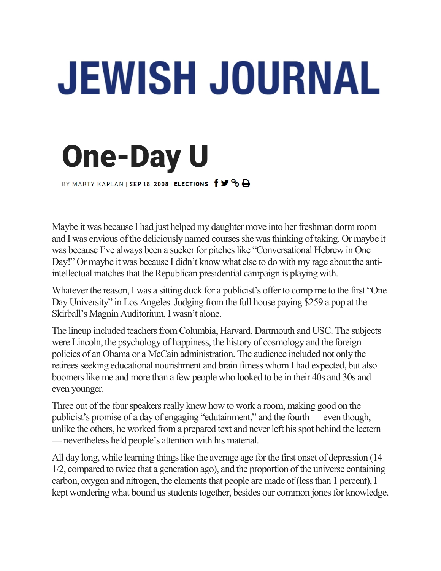## **JEWISH JOURNAL**

## **One-Day U**

BY MARTY KAPLAN | SEP 18. 2008 | ELECTIONS  $f \mathcal{L}$ 

Maybe it was because I had just helped my daughter move into her freshman dorm room and I was envious of the deliciously named courses she was thinking of taking. Or maybe it was because I've always been a sucker for pitches like "Conversational Hebrew in One Day!" Or maybe it was because I didn't know what else to do with my rage about the antiintellectual matches that the Republican presidential campaign is playing with.

Whatever the reason, I was a sitting duck for a publicist's offer to comp me to the first "One" Day University" in Los Angeles. Judging from the full house paying \$259 a pop at the Skirball's Magnin Auditorium, I wasn't alone.

The lineup included teachers from Columbia, Harvard, Dartmouth and USC. The subjects were Lincoln, the psychology of happiness, the history of cosmology and the foreign policies of an Obama or a McCain administration. The audience included not only the retirees seeking educational nourishment and brain fitness whom I had expected, but also boomers like me and more than a few people who looked to be in their 40s and 30s and even younger.

Three out of the four speakers really knew how to work a room, making good on the publicist's promise of a day of engaging "edutainment," and the fourth —even though, unlike the others, he worked from a prepared text and never left his spot behind the lectern —nevertheless held people's attention with his material.

All day long, while learning things like the average age for the first onset of depression (14 1/2, compared to twice that a generation ago), and the proportion of the universe containing carbon, oxygen and nitrogen, the elements that people are made of (less than 1 percent), I kept wondering what bound us students together, besides our common jones for knowledge.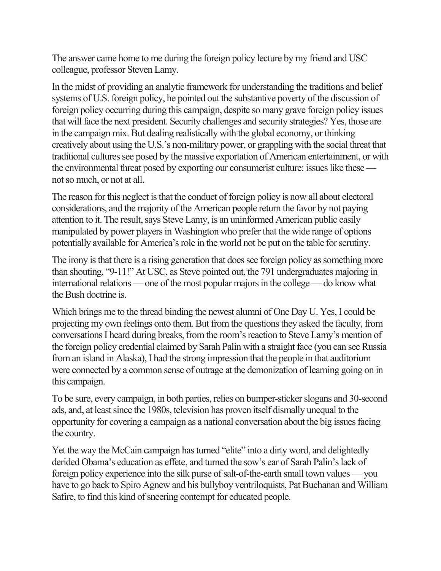The answer came home to me during the foreign policy lecture by my friend and USC colleague, professor Steven Lamy.

In the midst of providing an analytic framework for understanding the traditions and belief systems of U.S. foreign policy, he pointed out the substantive poverty of the discussion of foreign policy occurring during this campaign, despite so many grave foreign policy issues that will face the next president. Security challenges and security strategies? Yes, those are in the campaign mix. But dealing realistically with the global economy, or thinking creatively about using the U.S.'s non-military power, or grappling with the social threat that traditional cultures see posed by the massive exportation of American entertainment, or with the environmental threat posed by exporting our consumerist culture: issues like these not so much, or not at all.

The reason for this neglect is that the conduct of foreign policy is now all about electoral considerations, and the majority of the American people return the favor by not paying attention to it. The result, says Steve Lamy, is an uninformed American public easily manipulated by power players in Washington who prefer that the wide range of options potentially available for America's role in the world not be put on the table for scrutiny.

The irony is that there is a rising generation that does see foreign policy as something more than shouting, "9-11!" At USC, as Steve pointed out, the 791 undergraduates majoring in international relations — one of the most popular majors in the college — do know what the Bush doctrine is.

Which brings me to the thread binding the newest alumni of One Day U. Yes, I could be projecting my own feelings onto them. But from the questions they asked the faculty, from conversations I heard during breaks, from the room's reaction to Steve Lamy's mention of the foreign policy credential claimed by Sarah Palin with a straight face (you can see Russia from an island in Alaska), I had the strong impression that the people in that auditorium were connected by a common sense of outrage at the demonization of learning going on in this campaign.

To be sure, every campaign, in both parties, relies on bumper-sticker slogans and 30-second ads, and, at least since the 1980s, television has proven itself dismally unequal to the opportunity for covering a campaign as a national conversation about the big issues facing the country.

Yet the way the McCain campaign has turned "elite" into a dirty word, and delightedly derided Obama's education as effete, and turned the sow's ear of Sarah Palin's lack of foreign policy experience into the silk purse of salt-of-the-earth small town values — you have to go back to Spiro Agnew and his bullyboy ventriloquists, Pat Buchanan and William Safire, to find this kind of sneering contempt for educated people.